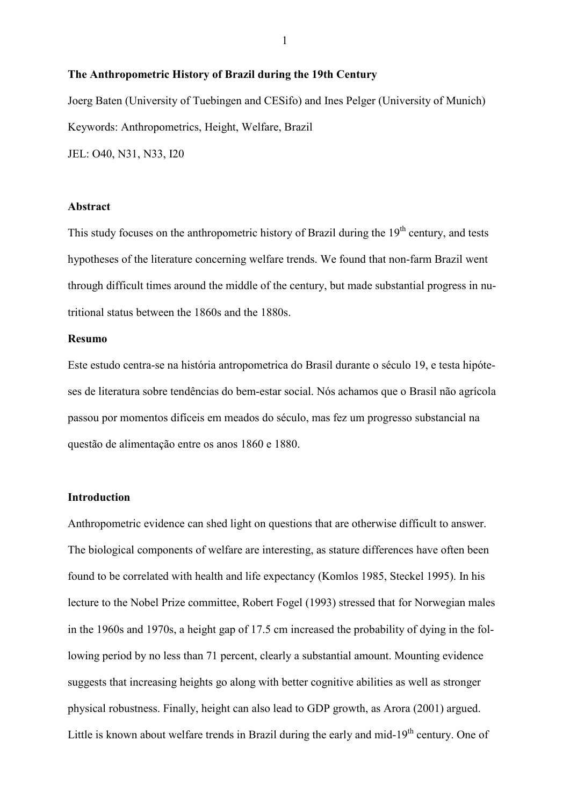#### **The Anthropometric History of Brazil during the 19th Century**

Joerg Baten (University of Tuebingen and CESifo) and Ines Pelger (University of Munich) Keywords: Anthropometrics, Height, Welfare, Brazil JEL: O40, N31, N33, I20

#### **Abstract**

This study focuses on the anthropometric history of Brazil during the  $19<sup>th</sup>$  century, and tests hypotheses of the literature concerning welfare trends. We found that non-farm Brazil went through difficult times around the middle of the century, but made substantial progress in nutritional status between the 1860s and the 1880s.

#### **Resumo**

Este estudo centra-se na história antropometrica do Brasil durante o século 19, e testa hipóteses de literatura sobre tendências do bem-estar social. Nós achamos que o Brasil não agrícola passou por momentos difíceis em meados do século, mas fez um progresso substancial na questão de alimentação entre os anos 1860 e 1880.

### **Introduction**

Anthropometric evidence can shed light on questions that are otherwise difficult to answer. The biological components of welfare are interesting, as stature differences have often been found to be correlated with health and life expectancy (Komlos 1985, Steckel 1995). In his lecture to the Nobel Prize committee, Robert Fogel (1993) stressed that for Norwegian males in the 1960s and 1970s, a height gap of 17.5 cm increased the probability of dying in the following period by no less than 71 percent, clearly a substantial amount. Mounting evidence suggests that increasing heights go along with better cognitive abilities as well as stronger physical robustness. Finally, height can also lead to GDP growth, as Arora (2001) argued. Little is known about welfare trends in Brazil during the early and mid- $19<sup>th</sup>$  century. One of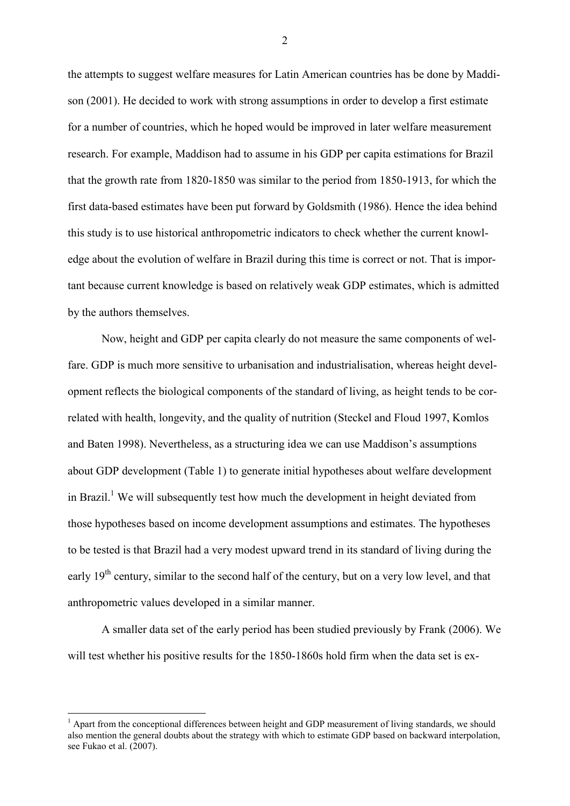the attempts to suggest welfare measures for Latin American countries has be done by Maddison (2001). He decided to work with strong assumptions in order to develop a first estimate for a number of countries, which he hoped would be improved in later welfare measurement research. For example, Maddison had to assume in his GDP per capita estimations for Brazil that the growth rate from 1820-1850 was similar to the period from 1850-1913, for which the first data-based estimates have been put forward by Goldsmith (1986). Hence the idea behind this study is to use historical anthropometric indicators to check whether the current knowledge about the evolution of welfare in Brazil during this time is correct or not. That is important because current knowledge is based on relatively weak GDP estimates, which is admitted by the authors themselves.

Now, height and GDP per capita clearly do not measure the same components of welfare. GDP is much more sensitive to urbanisation and industrialisation, whereas height development reflects the biological components of the standard of living, as height tends to be correlated with health, longevity, and the quality of nutrition (Steckel and Floud 1997, Komlos and Baten 1998). Nevertheless, as a structuring idea we can use Maddison's assumptions about GDP development (Table 1) to generate initial hypotheses about welfare development in Brazil.<sup>1</sup> We will subsequently test how much the development in height deviated from those hypotheses based on income development assumptions and estimates. The hypotheses to be tested is that Brazil had a very modest upward trend in its standard of living during the early 19<sup>th</sup> century, similar to the second half of the century, but on a very low level, and that anthropometric values developed in a similar manner.

A smaller data set of the early period has been studied previously by Frank (2006). We will test whether his positive results for the 1850-1860s hold firm when the data set is ex-

 $\overline{a}$ 

<sup>&</sup>lt;sup>1</sup> Apart from the conceptional differences between height and GDP measurement of living standards, we should also mention the general doubts about the strategy with which to estimate GDP based on backward interpolation, see Fukao et al. (2007).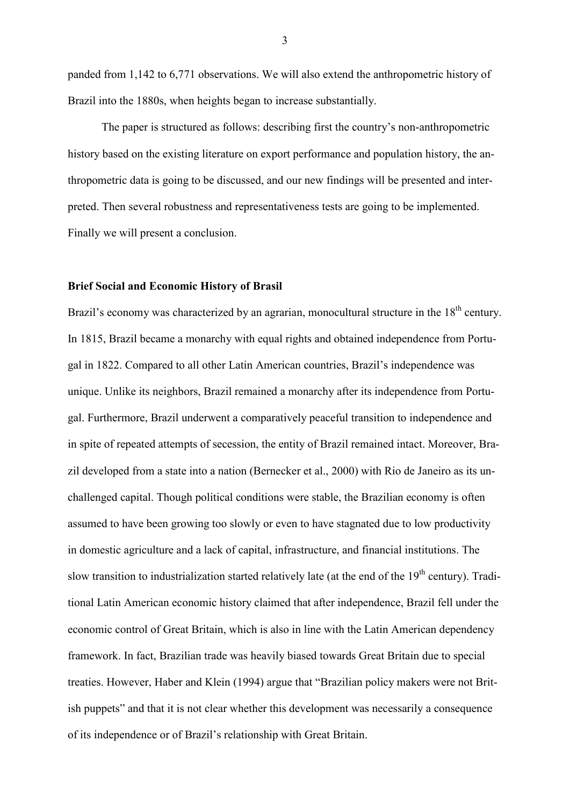panded from 1,142 to 6,771 observations. We will also extend the anthropometric history of Brazil into the 1880s, when heights began to increase substantially.

The paper is structured as follows: describing first the country's non-anthropometric history based on the existing literature on export performance and population history, the anthropometric data is going to be discussed, and our new findings will be presented and interpreted. Then several robustness and representativeness tests are going to be implemented. Finally we will present a conclusion.

#### **Brief Social and Economic History of Brasil**

Brazil's economy was characterized by an agrarian, monocultural structure in the 18<sup>th</sup> century. In 1815, Brazil became a monarchy with equal rights and obtained independence from Portugal in 1822. Compared to all other Latin American countries, Brazil's independence was unique. Unlike its neighbors, Brazil remained a monarchy after its independence from Portugal. Furthermore, Brazil underwent a comparatively peaceful transition to independence and in spite of repeated attempts of secession, the entity of Brazil remained intact. Moreover, Brazil developed from a state into a nation (Bernecker et al., 2000) with Rio de Janeiro as its unchallenged capital. Though political conditions were stable, the Brazilian economy is often assumed to have been growing too slowly or even to have stagnated due to low productivity in domestic agriculture and a lack of capital, infrastructure, and financial institutions. The slow transition to industrialization started relatively late (at the end of the  $19<sup>th</sup>$  century). Traditional Latin American economic history claimed that after independence, Brazil fell under the economic control of Great Britain, which is also in line with the Latin American dependency framework. In fact, Brazilian trade was heavily biased towards Great Britain due to special treaties. However, Haber and Klein (1994) argue that "Brazilian policy makers were not British puppets" and that it is not clear whether this development was necessarily a consequence of its independence or of Brazil's relationship with Great Britain.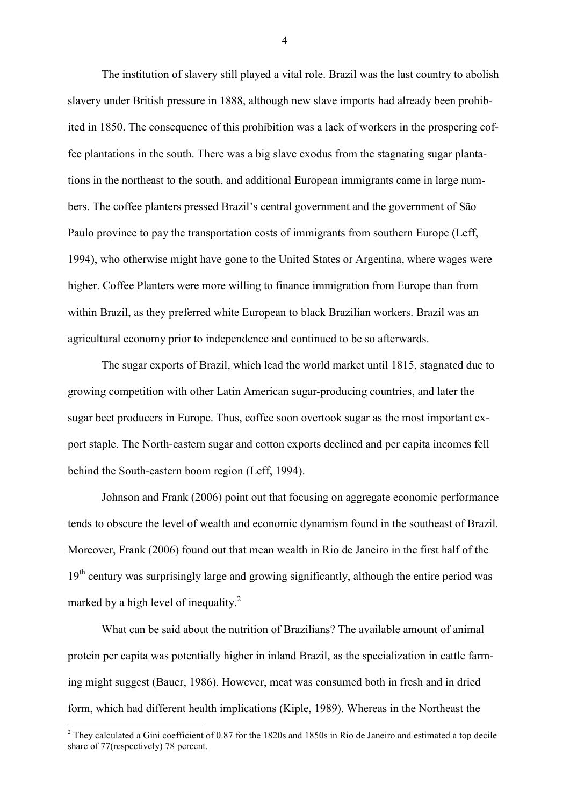The institution of slavery still played a vital role. Brazil was the last country to abolish slavery under British pressure in 1888, although new slave imports had already been prohibited in 1850. The consequence of this prohibition was a lack of workers in the prospering coffee plantations in the south. There was a big slave exodus from the stagnating sugar plantations in the northeast to the south, and additional European immigrants came in large numbers. The coffee planters pressed Brazil's central government and the government of São Paulo province to pay the transportation costs of immigrants from southern Europe (Leff, 1994), who otherwise might have gone to the United States or Argentina, where wages were higher. Coffee Planters were more willing to finance immigration from Europe than from within Brazil, as they preferred white European to black Brazilian workers. Brazil was an agricultural economy prior to independence and continued to be so afterwards.

The sugar exports of Brazil, which lead the world market until 1815, stagnated due to growing competition with other Latin American sugar-producing countries, and later the sugar beet producers in Europe. Thus, coffee soon overtook sugar as the most important export staple. The North-eastern sugar and cotton exports declined and per capita incomes fell behind the South-eastern boom region (Leff, 1994).

Johnson and Frank (2006) point out that focusing on aggregate economic performance tends to obscure the level of wealth and economic dynamism found in the southeast of Brazil. Moreover, Frank (2006) found out that mean wealth in Rio de Janeiro in the first half of the  $19<sup>th</sup>$  century was surprisingly large and growing significantly, although the entire period was marked by a high level of inequality.<sup>2</sup>

What can be said about the nutrition of Brazilians? The available amount of animal protein per capita was potentially higher in inland Brazil, as the specialization in cattle farming might suggest (Bauer, 1986). However, meat was consumed both in fresh and in dried form, which had different health implications (Kiple, 1989). Whereas in the Northeast the

<sup>&</sup>lt;sup>2</sup> They calculated a Gini coefficient of 0.87 for the 1820s and 1850s in Rio de Janeiro and estimated a top decile share of 77(respectively) 78 percent.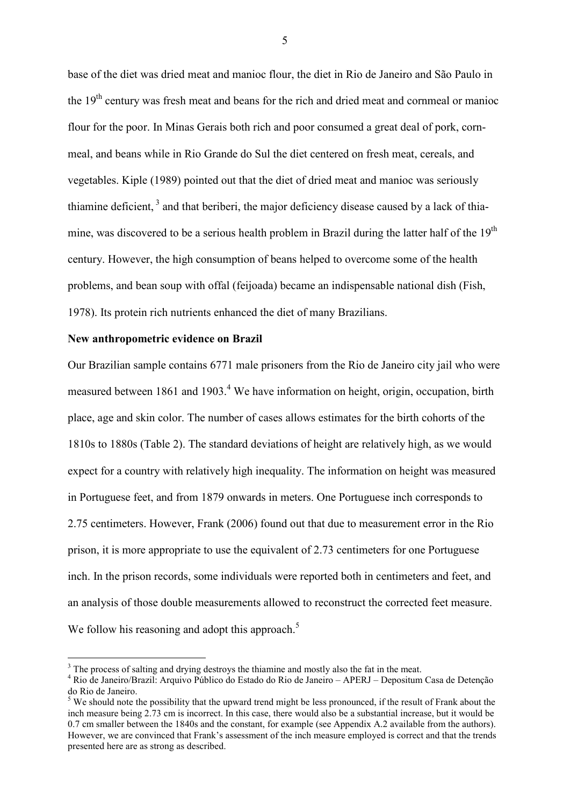base of the diet was dried meat and manioc flour, the diet in Rio de Janeiro and São Paulo in the 19th century was fresh meat and beans for the rich and dried meat and cornmeal or manioc flour for the poor. In Minas Gerais both rich and poor consumed a great deal of pork, cornmeal, and beans while in Rio Grande do Sul the diet centered on fresh meat, cereals, and vegetables. Kiple (1989) pointed out that the diet of dried meat and manioc was seriously thiamine deficient.<sup>3</sup> and that beriberi, the major deficiency disease caused by a lack of thiamine, was discovered to be a serious health problem in Brazil during the latter half of the  $19<sup>th</sup>$ century. However, the high consumption of beans helped to overcome some of the health problems, and bean soup with offal (feijoada) became an indispensable national dish (Fish, 1978). Its protein rich nutrients enhanced the diet of many Brazilians.

#### **New anthropometric evidence on Brazil**

 $\overline{a}$ 

Our Brazilian sample contains 6771 male prisoners from the Rio de Janeiro city jail who were measured between 1861 and 1903.<sup>4</sup> We have information on height, origin, occupation, birth place, age and skin color. The number of cases allows estimates for the birth cohorts of the 1810s to 1880s (Table 2). The standard deviations of height are relatively high, as we would expect for a country with relatively high inequality. The information on height was measured in Portuguese feet, and from 1879 onwards in meters. One Portuguese inch corresponds to 2.75 centimeters. However, Frank (2006) found out that due to measurement error in the Rio prison, it is more appropriate to use the equivalent of 2.73 centimeters for one Portuguese inch. In the prison records, some individuals were reported both in centimeters and feet, and an analysis of those double measurements allowed to reconstruct the corrected feet measure. We follow his reasoning and adopt this approach. $5$ 

 $3$  The process of salting and drying destroys the thiamine and mostly also the fat in the meat.

<sup>4</sup> Rio de Janeiro/Brazil: Arquivo Público do Estado do Rio de Janeiro – APERJ – Depositum Casa de Detenção do Rio de Janeiro.

 $<sup>5</sup>$  We should note the possibility that the upward trend might be less pronounced, if the result of Frank about the</sup> inch measure being 2.73 cm is incorrect. In this case, there would also be a substantial increase, but it would be 0.7 cm smaller between the 1840s and the constant, for example (see Appendix A.2 available from the authors). However, we are convinced that Frank's assessment of the inch measure employed is correct and that the trends presented here are as strong as described.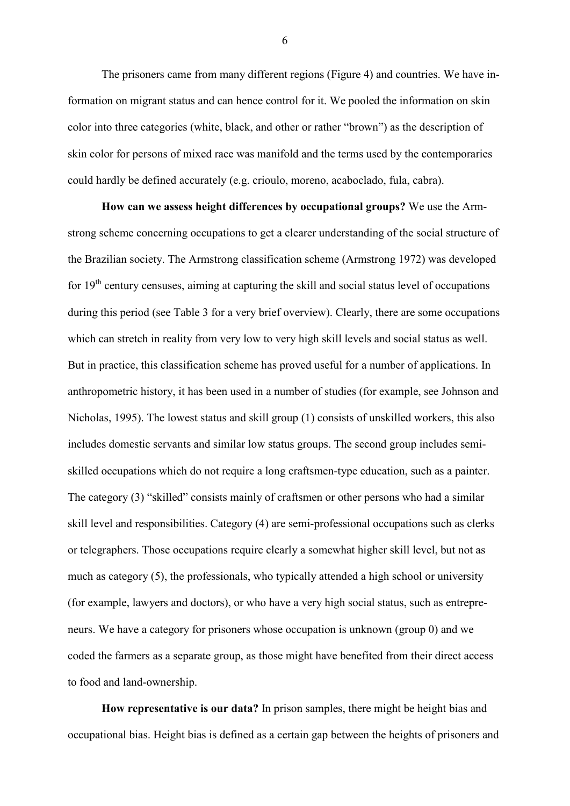The prisoners came from many different regions (Figure 4) and countries. We have information on migrant status and can hence control for it. We pooled the information on skin color into three categories (white, black, and other or rather "brown") as the description of skin color for persons of mixed race was manifold and the terms used by the contemporaries could hardly be defined accurately (e.g. crioulo, moreno, acaboclado, fula, cabra).

**How can we assess height differences by occupational groups?** We use the Armstrong scheme concerning occupations to get a clearer understanding of the social structure of the Brazilian society. The Armstrong classification scheme (Armstrong 1972) was developed for 19<sup>th</sup> century censuses, aiming at capturing the skill and social status level of occupations during this period (see Table 3 for a very brief overview). Clearly, there are some occupations which can stretch in reality from very low to very high skill levels and social status as well. But in practice, this classification scheme has proved useful for a number of applications. In anthropometric history, it has been used in a number of studies (for example, see Johnson and Nicholas, 1995). The lowest status and skill group (1) consists of unskilled workers, this also includes domestic servants and similar low status groups. The second group includes semiskilled occupations which do not require a long craftsmen-type education, such as a painter. The category (3) "skilled" consists mainly of craftsmen or other persons who had a similar skill level and responsibilities. Category (4) are semi-professional occupations such as clerks or telegraphers. Those occupations require clearly a somewhat higher skill level, but not as much as category (5), the professionals, who typically attended a high school or university (for example, lawyers and doctors), or who have a very high social status, such as entrepreneurs. We have a category for prisoners whose occupation is unknown (group 0) and we coded the farmers as a separate group, as those might have benefited from their direct access to food and land-ownership.

**How representative is our data?** In prison samples, there might be height bias and occupational bias. Height bias is defined as a certain gap between the heights of prisoners and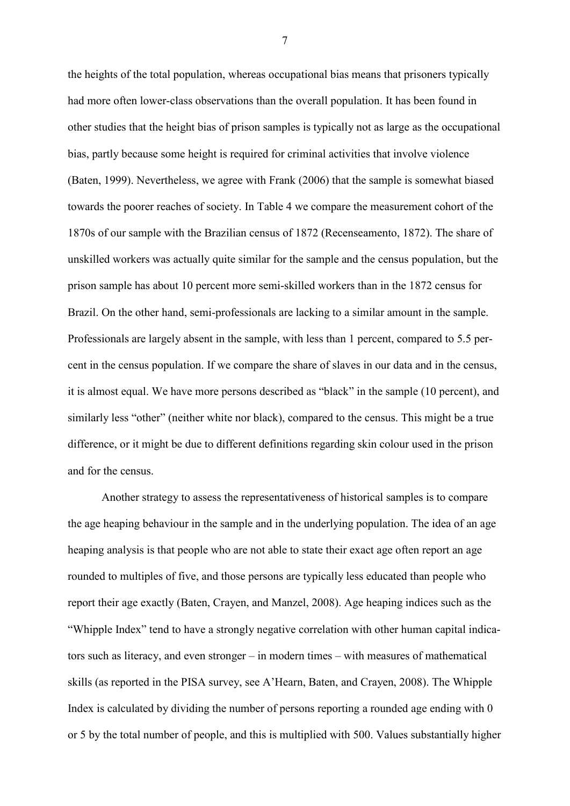the heights of the total population, whereas occupational bias means that prisoners typically had more often lower-class observations than the overall population. It has been found in other studies that the height bias of prison samples is typically not as large as the occupational bias, partly because some height is required for criminal activities that involve violence (Baten, 1999). Nevertheless, we agree with Frank (2006) that the sample is somewhat biased towards the poorer reaches of society. In Table 4 we compare the measurement cohort of the 1870s of our sample with the Brazilian census of 1872 (Recenseamento, 1872). The share of unskilled workers was actually quite similar for the sample and the census population, but the prison sample has about 10 percent more semi-skilled workers than in the 1872 census for Brazil. On the other hand, semi-professionals are lacking to a similar amount in the sample. Professionals are largely absent in the sample, with less than 1 percent, compared to 5.5 percent in the census population. If we compare the share of slaves in our data and in the census, it is almost equal. We have more persons described as "black" in the sample (10 percent), and similarly less "other" (neither white nor black), compared to the census. This might be a true difference, or it might be due to different definitions regarding skin colour used in the prison and for the census.

Another strategy to assess the representativeness of historical samples is to compare the age heaping behaviour in the sample and in the underlying population. The idea of an age heaping analysis is that people who are not able to state their exact age often report an age rounded to multiples of five, and those persons are typically less educated than people who report their age exactly (Baten, Crayen, and Manzel, 2008). Age heaping indices such as the "Whipple Index" tend to have a strongly negative correlation with other human capital indicators such as literacy, and even stronger – in modern times – with measures of mathematical skills (as reported in the PISA survey, see A'Hearn, Baten, and Crayen, 2008). The Whipple Index is calculated by dividing the number of persons reporting a rounded age ending with 0 or 5 by the total number of people, and this is multiplied with 500. Values substantially higher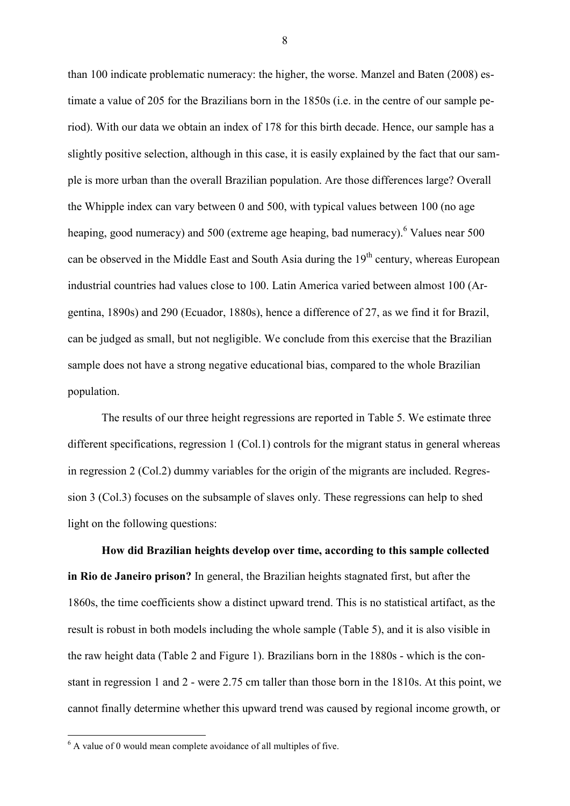than 100 indicate problematic numeracy: the higher, the worse. Manzel and Baten (2008) estimate a value of 205 for the Brazilians born in the 1850s (i.e. in the centre of our sample period). With our data we obtain an index of 178 for this birth decade. Hence, our sample has a slightly positive selection, although in this case, it is easily explained by the fact that our sample is more urban than the overall Brazilian population. Are those differences large? Overall the Whipple index can vary between 0 and 500, with typical values between 100 (no age heaping, good numeracy) and 500 (extreme age heaping, bad numeracy). <sup>6</sup> Values near 500 can be observed in the Middle East and South Asia during the 19<sup>th</sup> century, whereas European industrial countries had values close to 100. Latin America varied between almost 100 (Argentina, 1890s) and 290 (Ecuador, 1880s), hence a difference of 27, as we find it for Brazil, can be judged as small, but not negligible. We conclude from this exercise that the Brazilian sample does not have a strong negative educational bias, compared to the whole Brazilian population.

The results of our three height regressions are reported in Table 5. We estimate three different specifications, regression 1 (Col.1) controls for the migrant status in general whereas in regression 2 (Col.2) dummy variables for the origin of the migrants are included. Regression 3 (Col.3) focuses on the subsample of slaves only. These regressions can help to shed light on the following questions:

**How did Brazilian heights develop over time, according to this sample collected in Rio de Janeiro prison?** In general, the Brazilian heights stagnated first, but after the 1860s, the time coefficients show a distinct upward trend. This is no statistical artifact, as the result is robust in both models including the whole sample (Table 5), and it is also visible in the raw height data (Table 2 and Figure 1). Brazilians born in the 1880s - which is the constant in regression 1 and 2 - were 2.75 cm taller than those born in the 1810s. At this point, we cannot finally determine whether this upward trend was caused by regional income growth, or

 6 A value of 0 would mean complete avoidance of all multiples of five.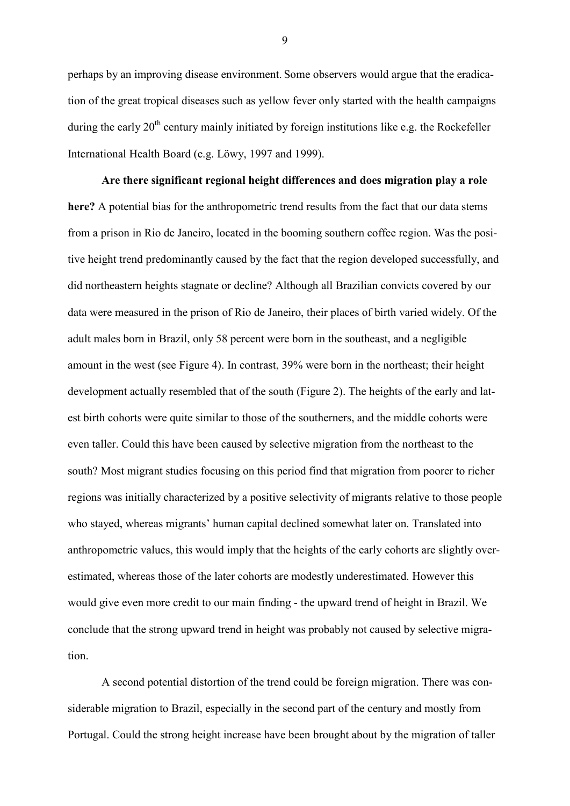perhaps by an improving disease environment. Some observers would argue that the eradication of the great tropical diseases such as yellow fever only started with the health campaigns during the early  $20<sup>th</sup>$  century mainly initiated by foreign institutions like e.g. the Rockefeller International Health Board (e.g. Löwy, 1997 and 1999).

**Are there significant regional height differences and does migration play a role here?** A potential bias for the anthropometric trend results from the fact that our data stems from a prison in Rio de Janeiro, located in the booming southern coffee region. Was the positive height trend predominantly caused by the fact that the region developed successfully, and did northeastern heights stagnate or decline? Although all Brazilian convicts covered by our data were measured in the prison of Rio de Janeiro, their places of birth varied widely. Of the adult males born in Brazil, only 58 percent were born in the southeast, and a negligible amount in the west (see Figure 4). In contrast, 39% were born in the northeast; their height development actually resembled that of the south (Figure 2). The heights of the early and latest birth cohorts were quite similar to those of the southerners, and the middle cohorts were even taller. Could this have been caused by selective migration from the northeast to the south? Most migrant studies focusing on this period find that migration from poorer to richer regions was initially characterized by a positive selectivity of migrants relative to those people who stayed, whereas migrants' human capital declined somewhat later on. Translated into anthropometric values, this would imply that the heights of the early cohorts are slightly overestimated, whereas those of the later cohorts are modestly underestimated. However this would give even more credit to our main finding - the upward trend of height in Brazil. We conclude that the strong upward trend in height was probably not caused by selective migration.

A second potential distortion of the trend could be foreign migration. There was considerable migration to Brazil, especially in the second part of the century and mostly from Portugal. Could the strong height increase have been brought about by the migration of taller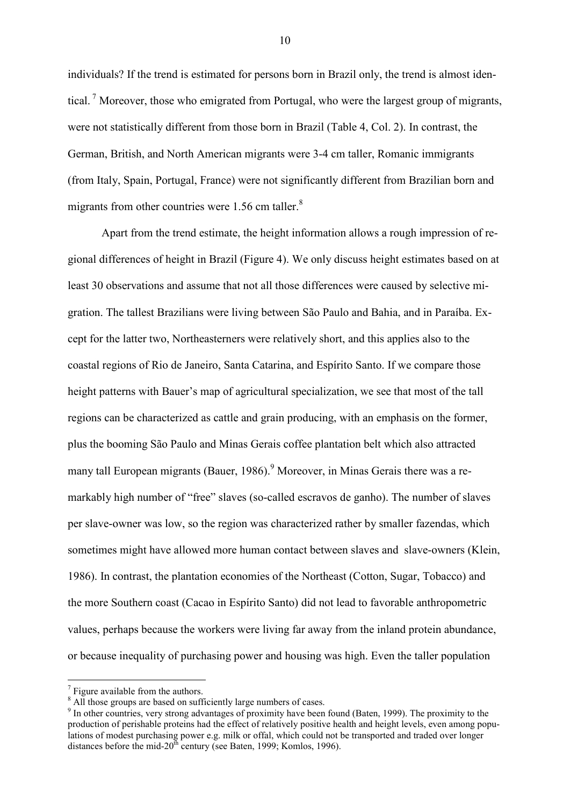individuals? If the trend is estimated for persons born in Brazil only, the trend is almost identical.<sup>7</sup> Moreover, those who emigrated from Portugal, who were the largest group of migrants, were not statistically different from those born in Brazil (Table 4, Col. 2). In contrast, the German, British, and North American migrants were 3-4 cm taller, Romanic immigrants (from Italy, Spain, Portugal, France) were not significantly different from Brazilian born and migrants from other countries were 1.56 cm taller. $8$ 

Apart from the trend estimate, the height information allows a rough impression of regional differences of height in Brazil (Figure 4). We only discuss height estimates based on at least 30 observations and assume that not all those differences were caused by selective migration. The tallest Brazilians were living between São Paulo and Bahia, and in Paraíba. Except for the latter two, Northeasterners were relatively short, and this applies also to the coastal regions of Rio de Janeiro, Santa Catarina, and Espírito Santo. If we compare those height patterns with Bauer's map of agricultural specialization, we see that most of the tall regions can be characterized as cattle and grain producing, with an emphasis on the former, plus the booming São Paulo and Minas Gerais coffee plantation belt which also attracted many tall European migrants (Bauer, 1986). <sup>9</sup> Moreover, in Minas Gerais there was a remarkably high number of "free" slaves (so-called escravos de ganho). The number of slaves per slave-owner was low, so the region was characterized rather by smaller fazendas, which sometimes might have allowed more human contact between slaves and slave-owners (Klein, 1986). In contrast, the plantation economies of the Northeast (Cotton, Sugar, Tobacco) and the more Southern coast (Cacao in Espírito Santo) did not lead to favorable anthropometric values, perhaps because the workers were living far away from the inland protein abundance, or because inequality of purchasing power and housing was high. Even the taller population

 $\overline{a}$ 

 $7$  Figure available from the authors.

<sup>&</sup>lt;sup>8</sup> All those groups are based on sufficiently large numbers of cases.

<sup>&</sup>lt;sup>9</sup> In other countries, very strong advantages of proximity have been found (Baten, 1999). The proximity to the production of perishable proteins had the effect of relatively positive health and height levels, even among populations of modest purchasing power e.g. milk or offal, which could not be transported and traded over longer distances before the mid-20<sup>th</sup> century (see Baten, 1999; Komlos, 1996).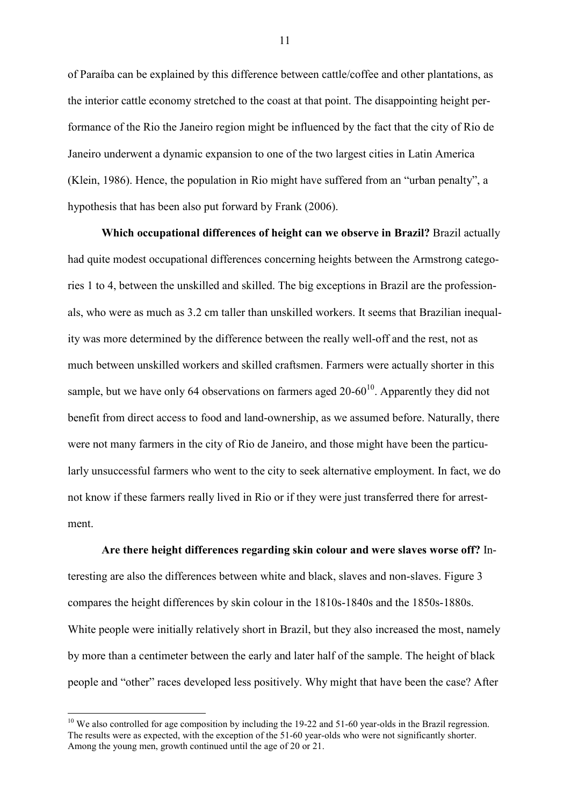of Paraíba can be explained by this difference between cattle/coffee and other plantations, as the interior cattle economy stretched to the coast at that point. The disappointing height performance of the Rio the Janeiro region might be influenced by the fact that the city of Rio de Janeiro underwent a dynamic expansion to one of the two largest cities in Latin America (Klein, 1986). Hence, the population in Rio might have suffered from an "urban penalty", a hypothesis that has been also put forward by Frank (2006).

**Which occupational differences of height can we observe in Brazil?** Brazil actually had quite modest occupational differences concerning heights between the Armstrong categories 1 to 4, between the unskilled and skilled. The big exceptions in Brazil are the professionals, who were as much as 3.2 cm taller than unskilled workers. It seems that Brazilian inequality was more determined by the difference between the really well-off and the rest, not as much between unskilled workers and skilled craftsmen. Farmers were actually shorter in this sample, but we have only 64 observations on farmers aged  $20-60^{10}$ . Apparently they did not benefit from direct access to food and land-ownership, as we assumed before. Naturally, there were not many farmers in the city of Rio de Janeiro, and those might have been the particularly unsuccessful farmers who went to the city to seek alternative employment. In fact, we do not know if these farmers really lived in Rio or if they were just transferred there for arrestment.

### **Are there height differences regarding skin colour and were slaves worse off?** In-

teresting are also the differences between white and black, slaves and non-slaves. Figure 3 compares the height differences by skin colour in the 1810s-1840s and the 1850s-1880s. White people were initially relatively short in Brazil, but they also increased the most, namely by more than a centimeter between the early and later half of the sample. The height of black people and "other" races developed less positively. Why might that have been the case? After

 $\overline{a}$ 

<sup>&</sup>lt;sup>10</sup> We also controlled for age composition by including the 19-22 and 51-60 year-olds in the Brazil regression. The results were as expected, with the exception of the 51-60 year-olds who were not significantly shorter. Among the young men, growth continued until the age of 20 or 21.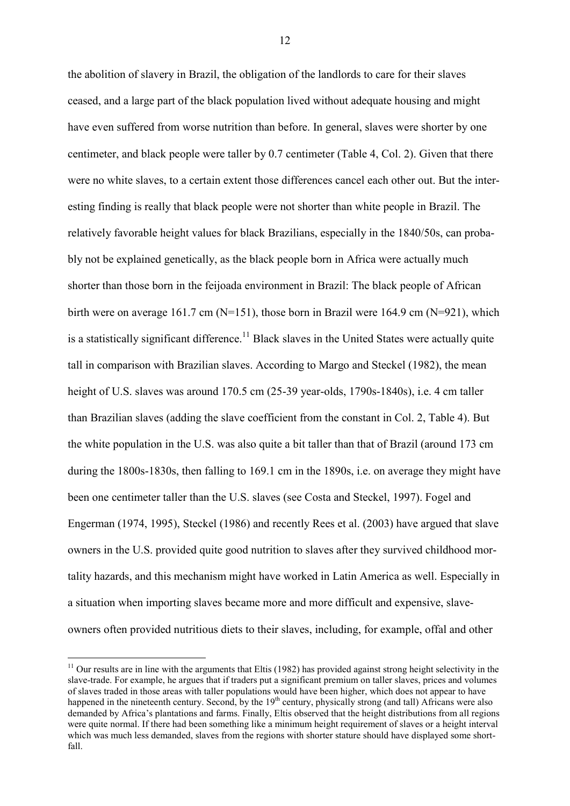the abolition of slavery in Brazil, the obligation of the landlords to care for their slaves ceased, and a large part of the black population lived without adequate housing and might have even suffered from worse nutrition than before. In general, slaves were shorter by one centimeter, and black people were taller by 0.7 centimeter (Table 4, Col. 2). Given that there were no white slaves, to a certain extent those differences cancel each other out. But the interesting finding is really that black people were not shorter than white people in Brazil. The relatively favorable height values for black Brazilians, especially in the 1840/50s, can probably not be explained genetically, as the black people born in Africa were actually much shorter than those born in the feijoada environment in Brazil: The black people of African birth were on average 161.7 cm  $(N=151)$ , those born in Brazil were 164.9 cm  $(N=921)$ , which is a statistically significant difference.<sup>11</sup> Black slaves in the United States were actually quite tall in comparison with Brazilian slaves. According to Margo and Steckel (1982), the mean height of U.S. slaves was around 170.5 cm (25-39 year-olds, 1790s-1840s), i.e. 4 cm taller than Brazilian slaves (adding the slave coefficient from the constant in Col. 2, Table 4). But the white population in the U.S. was also quite a bit taller than that of Brazil (around 173 cm during the 1800s-1830s, then falling to 169.1 cm in the 1890s, i.e. on average they might have been one centimeter taller than the U.S. slaves (see Costa and Steckel, 1997). Fogel and Engerman (1974, 1995), Steckel (1986) and recently Rees et al. (2003) have argued that slave owners in the U.S. provided quite good nutrition to slaves after they survived childhood mortality hazards, and this mechanism might have worked in Latin America as well. Especially in a situation when importing slaves became more and more difficult and expensive, slaveowners often provided nutritious diets to their slaves, including, for example, offal and other

 $\overline{a}$ 

<sup>&</sup>lt;sup>11</sup> Our results are in line with the arguments that Eltis (1982) has provided against strong height selectivity in the slave-trade. For example, he argues that if traders put a significant premium on taller slaves, prices and volumes of slaves traded in those areas with taller populations would have been higher, which does not appear to have happened in the nineteenth century. Second, by the 19<sup>th</sup> century, physically strong (and tall) Africans were also demanded by Africa's plantations and farms. Finally, Eltis observed that the height distributions from all regions were quite normal. If there had been something like a minimum height requirement of slaves or a height interval which was much less demanded, slaves from the regions with shorter stature should have displayed some shortfall.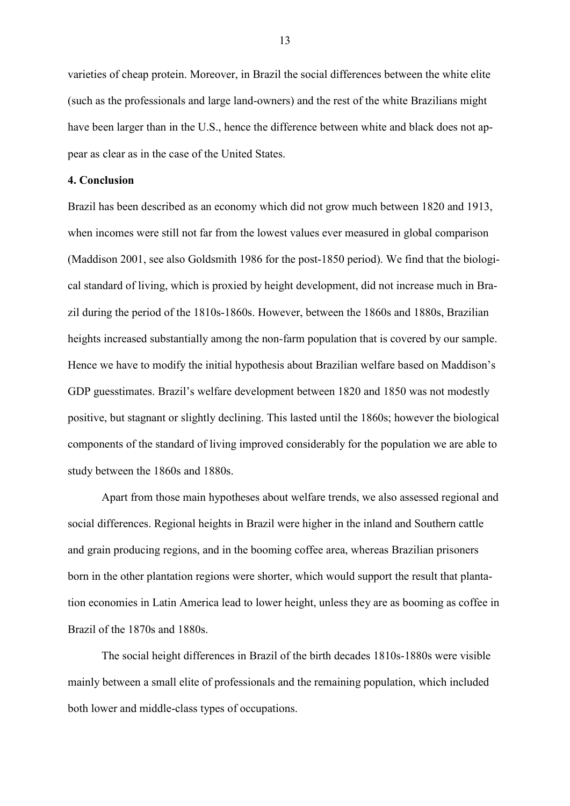varieties of cheap protein. Moreover, in Brazil the social differences between the white elite (such as the professionals and large land-owners) and the rest of the white Brazilians might have been larger than in the U.S., hence the difference between white and black does not appear as clear as in the case of the United States.

#### **4. Conclusion**

Brazil has been described as an economy which did not grow much between 1820 and 1913, when incomes were still not far from the lowest values ever measured in global comparison (Maddison 2001, see also Goldsmith 1986 for the post-1850 period). We find that the biological standard of living, which is proxied by height development, did not increase much in Brazil during the period of the 1810s-1860s. However, between the 1860s and 1880s, Brazilian heights increased substantially among the non-farm population that is covered by our sample. Hence we have to modify the initial hypothesis about Brazilian welfare based on Maddison's GDP guesstimates. Brazil's welfare development between 1820 and 1850 was not modestly positive, but stagnant or slightly declining. This lasted until the 1860s; however the biological components of the standard of living improved considerably for the population we are able to study between the 1860s and 1880s.

Apart from those main hypotheses about welfare trends, we also assessed regional and social differences. Regional heights in Brazil were higher in the inland and Southern cattle and grain producing regions, and in the booming coffee area, whereas Brazilian prisoners born in the other plantation regions were shorter, which would support the result that plantation economies in Latin America lead to lower height, unless they are as booming as coffee in Brazil of the 1870s and 1880s.

The social height differences in Brazil of the birth decades 1810s-1880s were visible mainly between a small elite of professionals and the remaining population, which included both lower and middle-class types of occupations.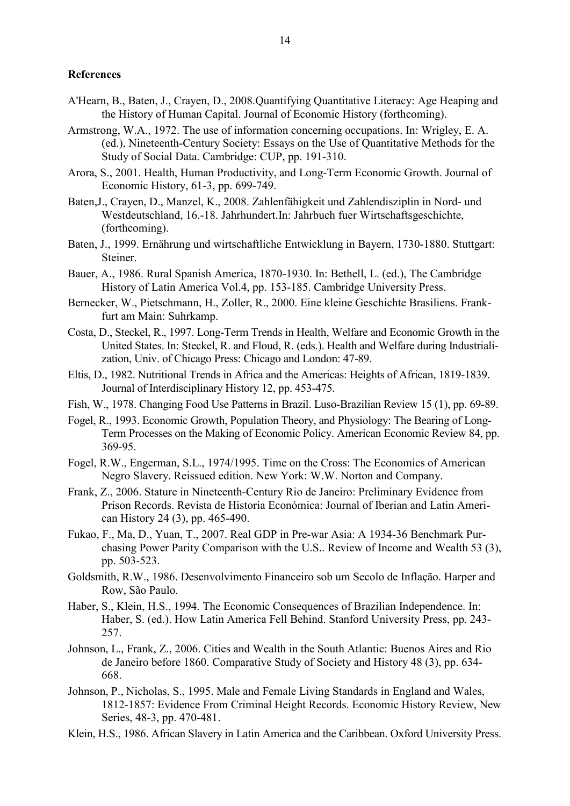#### **References**

- A'Hearn, B., Baten, J., Crayen, D., 2008.Quantifying Quantitative Literacy: Age Heaping and the History of Human Capital. Journal of Economic History (forthcoming).
- Armstrong, W.A., 1972. The use of information concerning occupations. In: Wrigley, E. A. (ed.), Nineteenth-Century Society: Essays on the Use of Quantitative Methods for the Study of Social Data. Cambridge: CUP, pp. 191-310.
- Arora, S., 2001. Health, Human Productivity, and Long-Term Economic Growth. Journal of Economic History, 61-3, pp. 699-749.
- Baten,J., Crayen, D., Manzel, K., 2008. Zahlenfähigkeit und Zahlendisziplin in Nord- und Westdeutschland, 16.-18. Jahrhundert.In: Jahrbuch fuer Wirtschaftsgeschichte, (forthcoming).
- Baten, J., 1999. Ernährung und wirtschaftliche Entwicklung in Bayern, 1730-1880. Stuttgart: Steiner.
- Bauer, A., 1986. Rural Spanish America, 1870-1930. In: Bethell, L. (ed.), The Cambridge History of Latin America Vol.4, pp. 153-185. Cambridge University Press.
- Bernecker, W., Pietschmann, H., Zoller, R., 2000. Eine kleine Geschichte Brasiliens. Frankfurt am Main: Suhrkamp.
- Costa, D., Steckel, R., 1997. Long-Term Trends in Health, Welfare and Economic Growth in the United States. In: Steckel, R. and Floud, R. (eds.). Health and Welfare during Industrialization, Univ. of Chicago Press: Chicago and London: 47-89.
- Eltis, D., 1982. Nutritional Trends in Africa and the Americas: Heights of African, 1819-1839. Journal of Interdisciplinary History 12, pp. 453-475.
- Fish, W., 1978. Changing Food Use Patterns in Brazil. Luso-Brazilian Review 15 (1), pp. 69-89.
- Fogel, R., 1993. Economic Growth, Population Theory, and Physiology: The Bearing of Long-Term Processes on the Making of Economic Policy. American Economic Review 84, pp. 369-95.
- Fogel, R.W., Engerman, S.L., 1974/1995. Time on the Cross: The Economics of American Negro Slavery. Reissued edition. New York: W.W. Norton and Company.
- Frank, Z., 2006. Stature in Nineteenth-Century Rio de Janeiro: Preliminary Evidence from Prison Records. Revista de Historia Económica: Journal of Iberian and Latin American History 24 (3), pp. 465-490.
- Fukao, F., Ma, D., Yuan, T., 2007. Real GDP in Pre-war Asia: A 1934-36 Benchmark Purchasing Power Parity Comparison with the U.S.. Review of Income and Wealth 53 (3), pp. 503-523.
- Goldsmith, R.W., 1986. Desenvolvimento Financeiro sob um Secolo de Inflação. Harper and Row, São Paulo.
- Haber, S., Klein, H.S., 1994. The Economic Consequences of Brazilian Independence. In: Haber, S. (ed.). How Latin America Fell Behind. Stanford University Press, pp. 243- 257.
- Johnson, L., Frank, Z., 2006. Cities and Wealth in the South Atlantic: Buenos Aires and Rio de Janeiro before 1860. Comparative Study of Society and History 48 (3), pp. 634- 668.
- Johnson, P., Nicholas, S., 1995. Male and Female Living Standards in England and Wales, 1812-1857: Evidence From Criminal Height Records. Economic History Review, New Series, 48-3, pp. 470-481.
- Klein, H.S., 1986. African Slavery in Latin America and the Caribbean. Oxford University Press.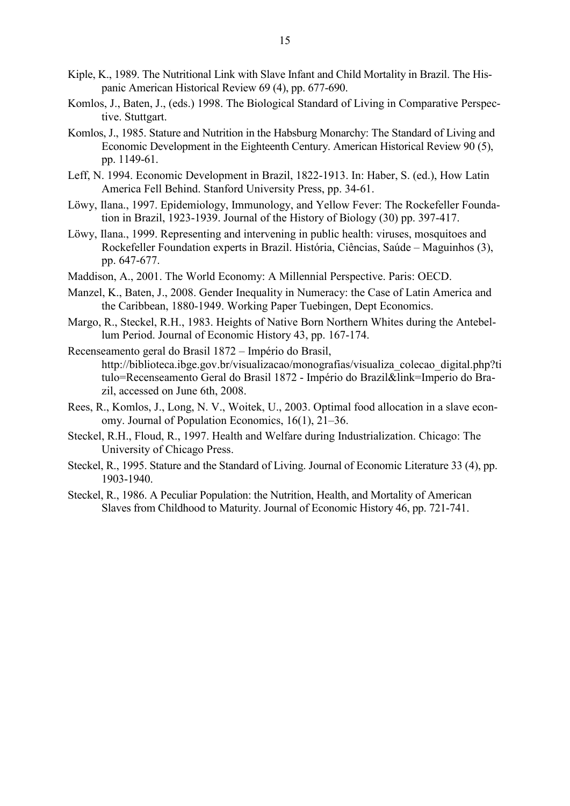- Kiple, K., 1989. The Nutritional Link with Slave Infant and Child Mortality in Brazil. The Hispanic American Historical Review 69 (4), pp. 677-690.
- Komlos, J., Baten, J., (eds.) 1998. The Biological Standard of Living in Comparative Perspective. Stuttgart.
- Komlos, J., 1985. Stature and Nutrition in the Habsburg Monarchy: The Standard of Living and Economic Development in the Eighteenth Century. American Historical Review 90 (5), pp. 1149-61.
- Leff, N. 1994. Economic Development in Brazil, 1822-1913. In: Haber, S. (ed.), How Latin America Fell Behind. Stanford University Press, pp. 34-61.
- Löwy, Ilana., 1997. Epidemiology, Immunology, and Yellow Fever: The Rockefeller Foundation in Brazil, 1923-1939. Journal of the History of Biology (30) pp. 397-417.
- Löwy, Ilana., 1999. Representing and intervening in public health: viruses, mosquitoes and Rockefeller Foundation experts in Brazil. História, Ciências, Saúde – Maguinhos (3), pp. 647-677.
- Maddison, A., 2001. The World Economy: A Millennial Perspective. Paris: OECD.
- Manzel, K., Baten, J., 2008. Gender Inequality in Numeracy: the Case of Latin America and the Caribbean, 1880-1949. Working Paper Tuebingen, Dept Economics.
- Margo, R., Steckel, R.H., 1983. Heights of Native Born Northern Whites during the Antebellum Period. Journal of Economic History 43, pp. 167-174.
- Recenseamento geral do Brasil 1872 Império do Brasil, http://biblioteca.ibge.gov.br/visualizacao/monografias/visualiza\_colecao\_digital.php?ti tulo=Recenseamento Geral do Brasil 1872 - Império do Brazil&link=Imperio do Brazil, accessed on June 6th, 2008.
- Rees, R., Komlos, J., Long, N. V., Woitek, U., 2003. Optimal food allocation in a slave economy. Journal of Population Economics, 16(1), 21–36.
- Steckel, R.H., Floud, R., 1997. Health and Welfare during Industrialization. Chicago: The University of Chicago Press.
- Steckel, R., 1995. Stature and the Standard of Living. Journal of Economic Literature 33 (4), pp. 1903-1940.
- Steckel, R., 1986. A Peculiar Population: the Nutrition, Health, and Mortality of American Slaves from Childhood to Maturity. Journal of Economic History 46, pp. 721-741.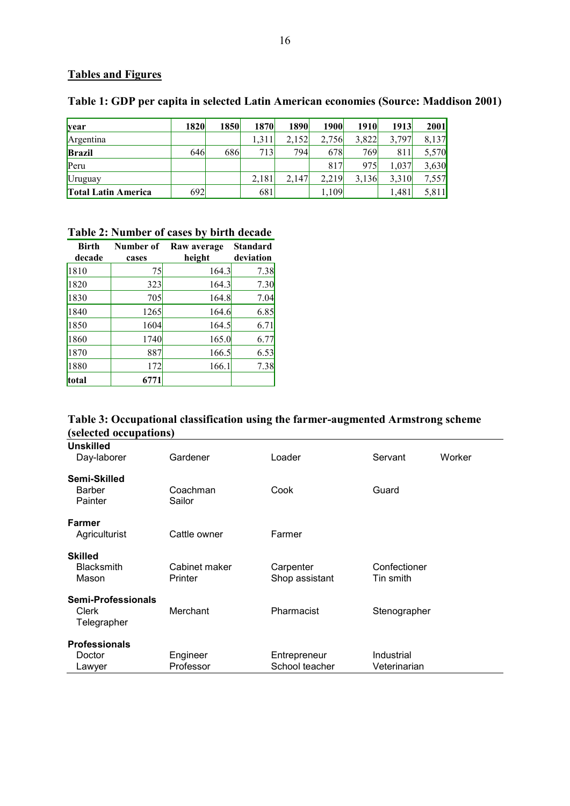# **Tables and Figures**

| <b>year</b>                | 1820 | 1850 | 1870  | 1890  | 1900  | <b>1910</b> | 1913  | 2001  |
|----------------------------|------|------|-------|-------|-------|-------------|-------|-------|
| Argentina                  |      |      | 1.311 | 2,152 | 2,756 | 3,822       | 3,797 | 8,137 |
| <b>Brazil</b>              | 646  | 686  | 713   | 794   | 678   | 769         | 811   | 5,570 |
| Peru                       |      |      |       |       | 817   | 975         | 1.037 | 3,630 |
| Uruguay                    |      |      | 2,181 | 2.147 | 2.219 | 3,136       | 3,310 | 7,557 |
| <b>Total Latin America</b> | 6921 |      | 681   |       | 1,109 |             | 1,481 | 5,811 |

## **Table 1: GDP per capita in selected Latin American economies (Source: Maddison 2001)**

# **Table 2: Number of cases by birth decade**

| <b>Birth</b><br>decade | Number of<br>cases | Raw average<br>height | Standard<br>deviation |
|------------------------|--------------------|-----------------------|-----------------------|
| 1810                   | 75                 | 164.3                 | 7.38                  |
| 1820                   | 323                | 164.3                 | 7.30                  |
| 1830                   | 705                | 164.8                 | 7.04                  |
| 1840                   | 1265               | 164.6                 | 6.85                  |
| 1850                   | 1604               | 164.5                 | 6.71                  |
| 1860                   | 1740               | 165.0                 | 6.77                  |
| 1870                   | 887                | 166.5                 | 6.53                  |
| 1880                   | 172                | 166.1                 | 7.38                  |
| total                  | 6771               |                       |                       |

## **Table 3: Occupational classification using the farmer-augmented Armstrong scheme (selected occupations)**

| <b>Unskilled</b>     |               |                |              |        |
|----------------------|---------------|----------------|--------------|--------|
| Day-laborer          | Gardener      | Loader         | Servant      | Worker |
|                      |               |                |              |        |
| Semi-Skilled         |               |                |              |        |
| <b>Barber</b>        | Coachman      | Cook           | Guard        |        |
| Painter              | Sailor        |                |              |        |
|                      |               |                |              |        |
| Farmer               |               |                |              |        |
| Agriculturist        | Cattle owner  | Farmer         |              |        |
| <b>Skilled</b>       |               |                |              |        |
| <b>Blacksmith</b>    | Cabinet maker | Carpenter      | Confectioner |        |
|                      | Printer       |                | Tin smith    |        |
| Mason                |               | Shop assistant |              |        |
| Semi-Professionals   |               |                |              |        |
| Clerk                | Merchant      | Pharmacist     | Stenographer |        |
| Telegrapher          |               |                |              |        |
|                      |               |                |              |        |
| <b>Professionals</b> |               |                |              |        |
| Doctor               | Engineer      | Entrepreneur   | Industrial   |        |
| Lawyer               | Professor     | School teacher | Veterinarian |        |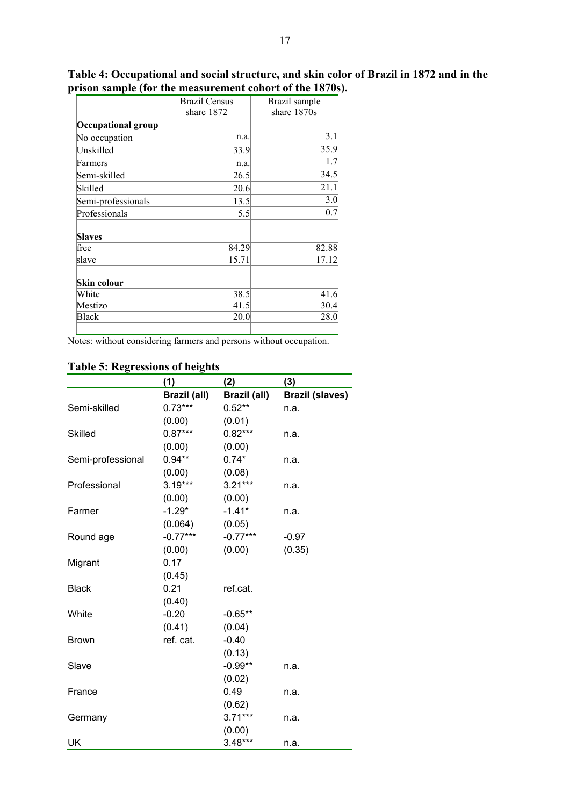|                    | <b>Brazil Census</b><br>share 1872 | Brazil sample<br>share 1870s |
|--------------------|------------------------------------|------------------------------|
| Occupational group |                                    |                              |
| No occupation      | n.a.                               | 3.1                          |
| Unskilled          | 33.9                               | 35.9                         |
| Farmers            | n.a.                               | 1.7                          |
| Semi-skilled       | 26.5                               | 34.5                         |
| Skilled            | 20.6                               | 21.1                         |
| Semi-professionals | 13.5                               | 3.0                          |
| Professionals      | 5.5                                | 0.7                          |
| <b>Slaves</b>      |                                    |                              |
| free               | 84.29                              | 82.88                        |
| slave              | 15.71                              | 17.12                        |
| Skin colour        |                                    |                              |
| White              | 38.5                               | 41.6                         |
| Mestizo            | 41.5                               | 30.4                         |
| <b>Black</b>       | 20.0                               | 28.0                         |
|                    |                                    |                              |

**Table 4: Occupational and social structure, and skin color of Brazil in 1872 and in the prison sample (for the measurement cohort of the 1870s).** 

Notes: without considering farmers and persons without occupation.

|                   | (1)          | (2)          | (3)                    |
|-------------------|--------------|--------------|------------------------|
|                   | Brazil (all) | Brazil (all) | <b>Brazil (slaves)</b> |
| Semi-skilled      | $0.73***$    | $0.52**$     | n.a.                   |
|                   | (0.00)       | (0.01)       |                        |
| <b>Skilled</b>    | $0.87***$    | $0.82***$    | n.a.                   |
|                   | (0.00)       | (0.00)       |                        |
| Semi-professional | $0.94**$     | $0.74*$      | n.a.                   |
|                   | (0.00)       | (0.08)       |                        |
| Professional      | $3.19***$    | $3.21***$    | n.a.                   |
|                   | (0.00)       | (0.00)       |                        |
| Farmer            | $-1.29*$     | $-1.41*$     | n.a.                   |
|                   | (0.064)      | (0.05)       |                        |
| Round age         | $-0.77***$   | $-0.77***$   | $-0.97$                |
|                   | (0.00)       | (0.00)       | (0.35)                 |
| Migrant           | 0.17         |              |                        |
|                   | (0.45)       |              |                        |
| <b>Black</b>      | 0.21         | ref.cat.     |                        |
|                   | (0.40)       |              |                        |
| White             | $-0.20$      | $-0.65**$    |                        |
|                   | (0.41)       | (0.04)       |                        |
| <b>Brown</b>      | ref. cat.    | $-0.40$      |                        |
|                   |              | (0.13)       |                        |
| Slave             |              | $-0.99**$    | n.a.                   |
|                   |              | (0.02)       |                        |
| France            |              | 0.49         | n.a.                   |
|                   |              | (0.62)       |                        |
| Germany           |              | $3.71***$    | n.a.                   |
|                   |              | (0.00)       |                        |
| UK                |              | $3.48***$    | n.a.                   |

# **Table 5: Regressions of heights**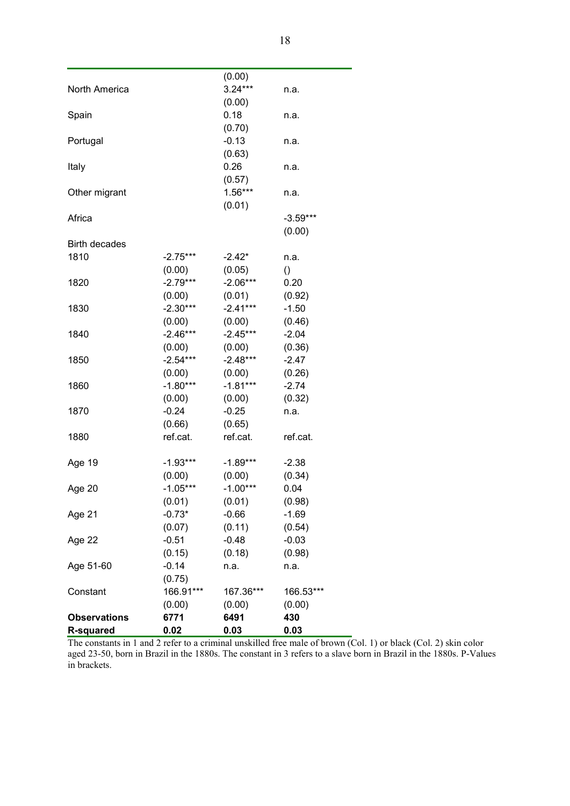| <b>R-squared</b>     | 0.02                 | 0.03                 | 0.03                     |  |
|----------------------|----------------------|----------------------|--------------------------|--|
| <b>Observations</b>  | 6771                 | 6491                 | 430                      |  |
|                      | (0.00)               | (0.00)               | (0.00)                   |  |
| Constant             | 166.91***            | 167.36***            | 166.53***                |  |
|                      | (0.75)               |                      |                          |  |
| Age 51-60            | $-0.14$              | n.a.                 | n.a.                     |  |
|                      | (0.15)               | (0.18)               | (0.98)                   |  |
| Age 22               | $-0.51$              | $-0.48$              | $-0.03$                  |  |
|                      | (0.07)               | (0.11)               | (0.54)                   |  |
| Age 21               | $-0.73*$             | $-0.66$              | $-1.69$                  |  |
|                      | (0.01)               | (0.01)               | (0.98)                   |  |
| Age 20               | $-1.05***$           | $-1.00***$           | 0.04                     |  |
|                      | (0.00)               | (0.00)               | (0.34)                   |  |
| Age 19               | $-1.93***$           | $-1.89***$           | $-2.38$                  |  |
| 1880                 | ref.cat.             | ref.cat.             | ref.cat.                 |  |
|                      | (0.66)               | (0.65)               |                          |  |
| 1870                 | $-0.24$              | $-0.25$              | n.a.                     |  |
|                      | (0.00)               | (0.00)               | (0.32)                   |  |
| 1860                 |                      |                      |                          |  |
|                      | (0.00)<br>$-1.80***$ | (0.00)<br>$-1.81***$ | (0.26)<br>$-2.74$        |  |
| 1850                 |                      |                      |                          |  |
|                      | (0.00)<br>$-2.54***$ | (0.00)<br>$-2.48***$ | (0.36)<br>$-2.47$        |  |
|                      |                      |                      |                          |  |
| 1840                 | $-2.46***$           | $-2.45***$           | $-2.04$                  |  |
|                      | (0.00)               | (0.00)               | (0.46)                   |  |
| 1830                 | $-2.30***$           | $-2.41***$           | $-1.50$                  |  |
|                      | (0.00)               | (0.01)               | (0.92)                   |  |
| 1820                 | $-2.79***$           | $-2.06***$           | 0.20                     |  |
|                      | (0.00)               | -2.42*<br>(0.05)     | n.a.<br>$\left( \right)$ |  |
| 1810                 | $-2.75***$           |                      |                          |  |
| <b>Birth decades</b> |                      |                      | (0.00)                   |  |
| Africa               |                      |                      | $-3.59***$               |  |
|                      |                      | (0.01)               |                          |  |
| Other migrant        |                      | $1.56***$            | n.a.                     |  |
|                      |                      | (0.57)               |                          |  |
| Italy                |                      | 0.26                 | n.a.                     |  |
|                      |                      | (0.63)               |                          |  |
| Portugal             |                      | $-0.13$              | n.a.                     |  |
|                      |                      | (0.70)               |                          |  |
| Spain                |                      | 0.18                 | n.a.                     |  |
|                      |                      | (0.00)               |                          |  |
| North America        |                      | $3.24***$            | n.a.                     |  |
|                      |                      | (0.00)               |                          |  |
|                      |                      |                      |                          |  |

The constants in 1 and 2 refer to a criminal unskilled free male of brown (Col. 1) or black (Col. 2) skin color aged 23-50, born in Brazil in the 1880s. The constant in 3 refers to a slave born in Brazil in the 1880s. P-Values in brackets.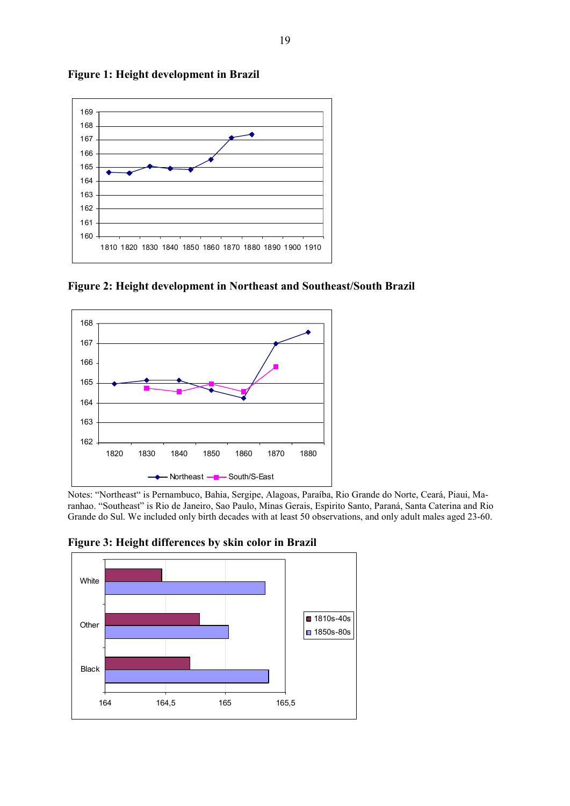

**Figure 1: Height development in Brazil** 

**Figure 2: Height development in Northeast and Southeast/South Brazil** 



Notes: "Northeast" is Pernambuco, Bahia, Sergipe, Alagoas, Paraíba, Rio Grande do Norte, Ceará, Piaui, Maranhao. "Southeast" is Rio de Janeiro, Sao Paulo, Minas Gerais, Espirito Santo, Paraná, Santa Caterina and Rio Grande do Sul. We included only birth decades with at least 50 observations, and only adult males aged 23-60.